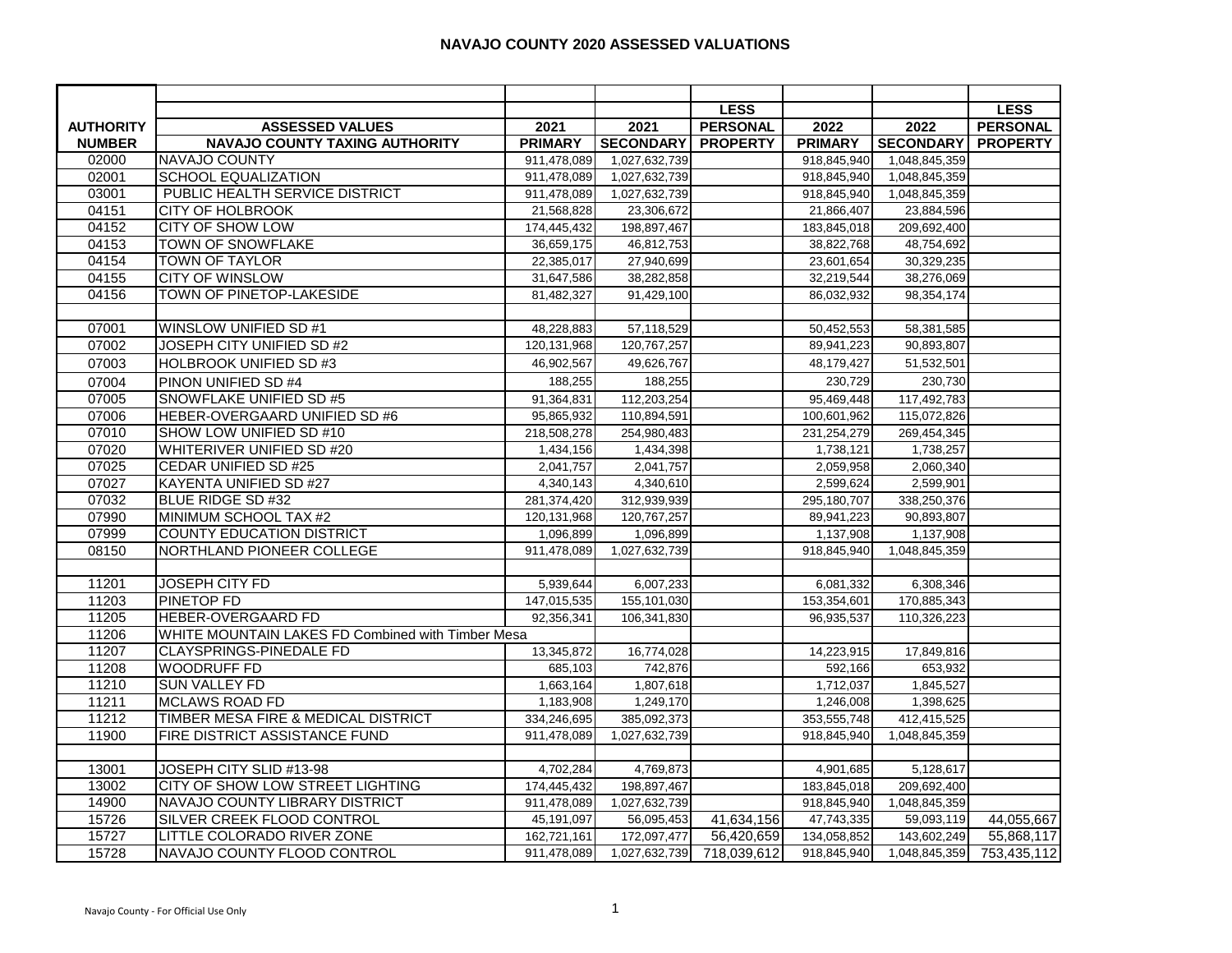## **NAVAJO COUNTY 2020 ASSESSED VALUATIONS**

|                  |                                                   |                |                  | <b>LESS</b>     |                |                  | <b>LESS</b>     |
|------------------|---------------------------------------------------|----------------|------------------|-----------------|----------------|------------------|-----------------|
| <b>AUTHORITY</b> | <b>ASSESSED VALUES</b>                            | 2021           | 2021             | <b>PERSONAL</b> | 2022           | 2022             | <b>PERSONAL</b> |
| <b>NUMBER</b>    | <b>NAVAJO COUNTY TAXING AUTHORITY</b>             | <b>PRIMARY</b> | <b>SECONDARY</b> | <b>PROPERTY</b> | <b>PRIMARY</b> | <b>SECONDARY</b> | <b>PROPERTY</b> |
| 02000            | <b>NAVAJO COUNTY</b>                              | 911,478,089    | 1,027,632,739    |                 | 918,845,940    | 1,048,845,359    |                 |
| 02001            | <b>SCHOOL EQUALIZATION</b>                        | 911,478,089    | 1,027,632,739    |                 | 918,845,940    | 1,048,845,359    |                 |
| 03001            | PUBLIC HEALTH SERVICE DISTRICT                    | 911,478,089    | 1,027,632,739    |                 | 918,845,940    | 1,048,845,359    |                 |
| 04151            | <b>CITY OF HOLBROOK</b>                           | 21,568,828     | 23,306,672       |                 | 21,866,407     | 23,884,596       |                 |
| 04152            | <b>CITY OF SHOW LOW</b>                           | 174,445,432    | 198,897,467      |                 | 183,845,018    | 209,692,400      |                 |
| 04153            | <b>TOWN OF SNOWFLAKE</b>                          | 36,659,175     | 46,812,753       |                 | 38,822,768     | 48,754,692       |                 |
| 04154            | <b>TOWN OF TAYLOR</b>                             | 22,385,017     | 27,940,699       |                 | 23,601,654     | 30,329,235       |                 |
| 04155            | <b>CITY OF WINSLOW</b>                            | 31,647,586     | 38,282,858       |                 | 32,219,544     | 38,276,069       |                 |
| 04156            | <b>TOWN OF PINETOP-LAKESIDE</b>                   | 81,482,327     | 91,429,100       |                 | 86,032,932     | 98,354,174       |                 |
|                  |                                                   |                |                  |                 |                |                  |                 |
| 07001            | <b>WINSLOW UNIFIED SD #1</b>                      | 48,228,883     | 57,118,529       |                 | 50,452,553     | 58,381,585       |                 |
| 07002            | JOSEPH CITY UNIFIED SD #2                         | 120,131,968    | 120,767,257      |                 | 89,941,223     | 90,893,807       |                 |
| 07003            | HOLBROOK UNIFIED SD #3                            | 46,902,567     | 49,626,767       |                 | 48,179,427     | 51,532,501       |                 |
| 07004            | PINON UNIFIED SD #4                               | 188,255        | 188,255          |                 | 230,729        | 230,730          |                 |
| 07005            | SNOWFLAKE UNIFIED SD #5                           | 91,364,831     | 112,203,254      |                 | 95,469,448     | 117,492,783      |                 |
| 07006            | HEBER-OVERGAARD UNIFIED SD #6                     | 95,865,932     | 110,894,591      |                 | 100,601,962    | 115,072,826      |                 |
| 07010            | SHOW LOW UNIFIED SD #10                           | 218,508,278    | 254,980,483      |                 | 231,254,279    | 269,454,345      |                 |
| 07020            | WHITERIVER UNIFIED SD #20                         | 1,434,156      | 1,434,398        |                 | 1,738,121      | 1,738,257        |                 |
| 07025            | CEDAR UNIFIED SD #25                              | 2,041,757      | 2,041,757        |                 | 2,059,958      | 2,060,340        |                 |
| 07027            | KAYENTA UNIFIED SD #27                            | 4,340,143      | 4,340,610        |                 | 2,599,624      | 2,599,901        |                 |
| 07032            | BLUE RIDGE SD #32                                 | 281,374,420    | 312,939,939      |                 | 295,180,707    | 338,250,376      |                 |
| 07990            | MINIMUM SCHOOL TAX #2                             | 120,131,968    | 120,767,257      |                 | 89,941,223     | 90,893,807       |                 |
| 07999            | <b>COUNTY EDUCATION DISTRICT</b>                  | 1,096,899      | 1,096,899        |                 | 1,137,908      | 1,137,908        |                 |
| 08150            | NORTHLAND PIONEER COLLEGE                         | 911,478,089    | 1,027,632,739    |                 | 918,845,940    | 1,048,845,359    |                 |
|                  |                                                   |                |                  |                 |                |                  |                 |
| 11201            | <b>JOSEPH CITY FD</b>                             | 5,939,644      | 6,007,233        |                 | 6,081,332      | 6,308,346        |                 |
| 11203            | <b>PINETOP FD</b>                                 | 147,015,535    | 155,101,030      |                 | 153,354,601    | 170,885,343      |                 |
| 11205            | <b>HEBER-OVERGAARD FD</b>                         | 92,356,341     | 106,341,830      |                 | 96,935,537     | 110,326,223      |                 |
| 11206            | WHITE MOUNTAIN LAKES FD Combined with Timber Mesa |                |                  |                 |                |                  |                 |
| 11207            | <b>CLAYSPRINGS-PINEDALE FD</b>                    | 13,345,872     | 16,774,028       |                 | 14,223,915     | 17,849,816       |                 |
| 11208            | <b>WOODRUFF FD</b>                                | 685,103        | 742,876          |                 | 592,166        | 653,932          |                 |
| 11210            | <b>SUN VALLEY FD</b>                              | 1,663,164      | 1,807,618        |                 | 1,712,037      | 1,845,527        |                 |
| 11211            | <b>MCLAWS ROAD FD</b>                             | 1,183,908      | 1,249,170        |                 | 1,246,008      | 1,398,625        |                 |
| 11212            | TIMBER MESA FIRE & MEDICAL DISTRICT               | 334,246,695    | 385,092,373      |                 | 353,555,748    | 412,415,525      |                 |
| 11900            | FIRE DISTRICT ASSISTANCE FUND                     | 911,478,089    | 1,027,632,739    |                 | 918,845,940    | 1,048,845,359    |                 |
|                  |                                                   |                |                  |                 |                |                  |                 |
| 13001            | JOSEPH CITY SLID #13-98                           | 4,702,284      | 4,769,873        |                 | 4,901,685      | 5,128,617        |                 |
| 13002            | CITY OF SHOW LOW STREET LIGHTING                  | 174,445,432    | 198,897,467      |                 | 183,845,018    | 209,692,400      |                 |
| 14900            | NAVAJO COUNTY LIBRARY DISTRICT                    | 911,478,089    | 1,027,632,739    |                 | 918,845,940    | 1,048,845,359    |                 |
| 15726            | SILVER CREEK FLOOD CONTROL                        | 45,191,097     | 56,095,453       | 41,634,156      | 47,743,335     | 59,093,119       | 44,055,667      |
| 15727            | LITTLE COLORADO RIVER ZONE                        | 162,721,161    | 172,097,477      | 56,420,659      | 134,058,852    | 143,602,249      | 55,868,117      |
| 15728            | NAVAJO COUNTY FLOOD CONTROL                       | 911,478,089    | 1,027,632,739    | 718,039,612     | 918,845,940    | 1,048,845,359    | 753,435,112     |